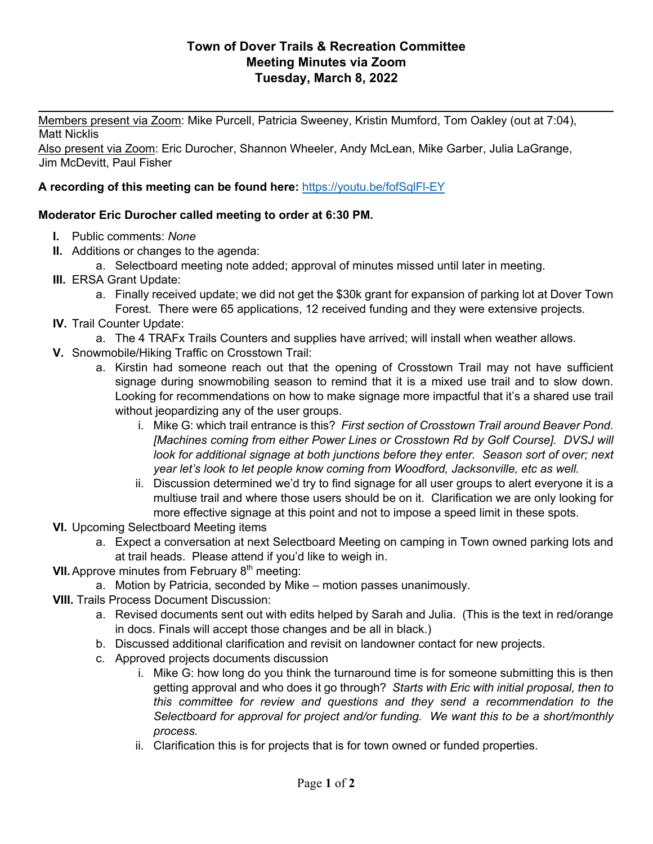## **Town of Dover Trails & Recreation Committee Meeting Minutes via Zoom Tuesday, March 8, 2022**

 $\frac{1}{2}$ 

Members present via Zoom: Mike Purcell, Patricia Sweeney, Kristin Mumford, Tom Oakley (out at 7:04), Matt Nicklis

Also present via Zoom: Eric Durocher, Shannon Wheeler, Andy McLean, Mike Garber, Julia LaGrange, Jim McDevitt, Paul Fisher

## **A recording of this meeting can be found here:** https://youtu.be/fofSqlFl-EY

## **Moderator Eric Durocher called meeting to order at 6:30 PM.**

- **I.** Public comments: *None*
- **II.** Additions or changes to the agenda:
	- a. Selectboard meeting note added; approval of minutes missed until later in meeting.
- **III.** ERSA Grant Update:
	- a. Finally received update; we did not get the \$30k grant for expansion of parking lot at Dover Town Forest. There were 65 applications, 12 received funding and they were extensive projects.
- **IV.** Trail Counter Update:
	- a. The 4 TRAFx Trails Counters and supplies have arrived; will install when weather allows.
- **V.** Snowmobile/Hiking Traffic on Crosstown Trail:
	- a. Kirstin had someone reach out that the opening of Crosstown Trail may not have sufficient signage during snowmobiling season to remind that it is a mixed use trail and to slow down. Looking for recommendations on how to make signage more impactful that it's a shared use trail without jeopardizing any of the user groups.
		- i. Mike G: which trail entrance is this? *First section of Crosstown Trail around Beaver Pond. [Machines coming from either Power Lines or Crosstown Rd by Golf Course]. DVSJ will look for additional signage at both junctions before they enter. Season sort of over; next year let's look to let people know coming from Woodford, Jacksonville, etc as well.*
		- ii. Discussion determined we'd try to find signage for all user groups to alert everyone it is a multiuse trail and where those users should be on it. Clarification we are only looking for more effective signage at this point and not to impose a speed limit in these spots.
- **VI.** Upcoming Selectboard Meeting items
	- a. Expect a conversation at next Selectboard Meeting on camping in Town owned parking lots and at trail heads. Please attend if you'd like to weigh in.
- **VII.** Approve minutes from February 8<sup>th</sup> meeting:
	- a. Motion by Patricia, seconded by Mike motion passes unanimously.
- **VIII.** Trails Process Document Discussion:
	- a. Revised documents sent out with edits helped by Sarah and Julia. (This is the text in red/orange in docs. Finals will accept those changes and be all in black.)
	- b. Discussed additional clarification and revisit on landowner contact for new projects.
	- c. Approved projects documents discussion
		- i. Mike G: how long do you think the turnaround time is for someone submitting this is then getting approval and who does it go through? *Starts with Eric with initial proposal, then to this committee for review and questions and they send a recommendation to the Selectboard for approval for project and/or funding. We want this to be a short/monthly process.*
		- ii. Clarification this is for projects that is for town owned or funded properties.